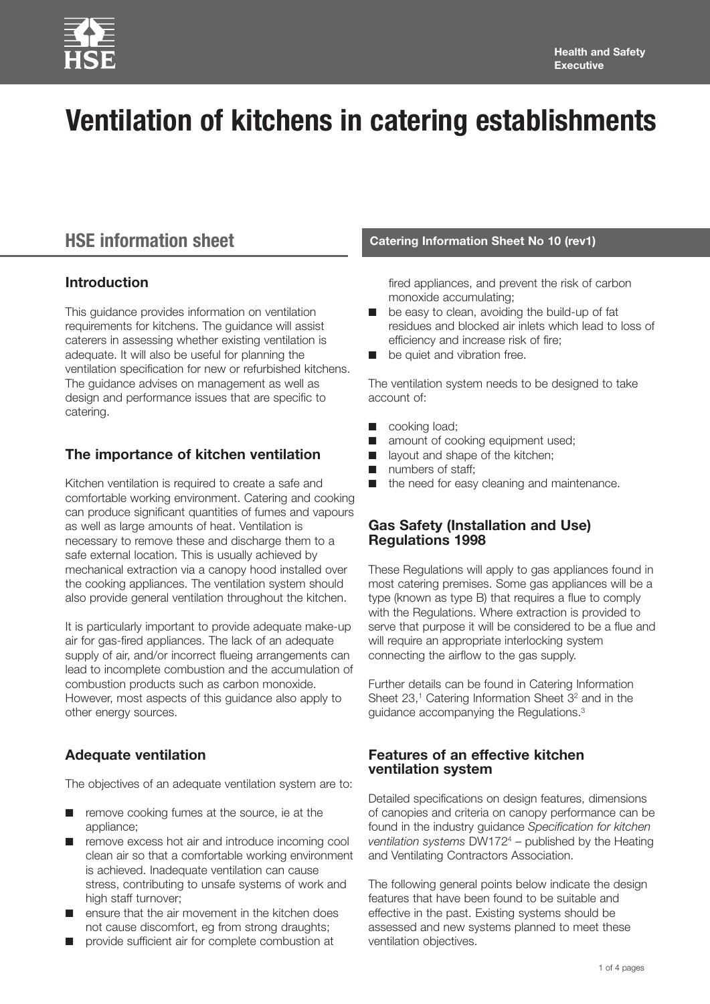

# **Ventilation of kitchens in catering establishments**

# **HSE information sheet**

# **Introduction**

This guidance provides information on ventilation requirements for kitchens. The guidance will assist caterers in assessing whether existing ventilation is adequate. It will also be useful for planning the ventilation specification for new or refurbished kitchens. The guidance advises on management as well as design and performance issues that are specific to catering.

# **The importance of kitchen ventilation**

Kitchen ventilation is required to create a safe and comfortable working environment. Catering and cooking can produce significant quantities of fumes and vapours as well as large amounts of heat. Ventilation is necessary to remove these and discharge them to a safe external location. This is usually achieved by mechanical extraction via a canopy hood installed over the cooking appliances. The ventilation system should also provide general ventilation throughout the kitchen.

It is particularly important to provide adequate make-up air for gas-fired appliances. The lack of an adequate supply of air, and/or incorrect flueing arrangements can lead to incomplete combustion and the accumulation of combustion products such as carbon monoxide. However, most aspects of this guidance also apply to other energy sources.

# **Adequate ventilation**

The objectives of an adequate ventilation system are to:

- remove cooking fumes at the source, ie at the appliance;
- remove excess hot air and introduce incoming cool clean air so that a comfortable working environment is achieved. Inadequate ventilation can cause stress, contributing to unsafe systems of work and high staff turnover;
- ensure that the air movement in the kitchen does not cause discomfort, eg from strong draughts;
- provide sufficient air for complete combustion at

#### **Catering Information Sheet No 10 (rev1)**

fired appliances, and prevent the risk of carbon monoxide accumulating;

- be easy to clean, avoiding the build-up of fat residues and blocked air inlets which lead to loss of efficiency and increase risk of fire;
- be quiet and vibration free.

The ventilation system needs to be designed to take account of:

- cooking load;
- amount of cooking equipment used;
- layout and shape of the kitchen;
- numbers of staff;
- the need for easy cleaning and maintenance.

#### **Gas Safety (Installation and Use) Regulations 1998**

These Regulations will apply to gas appliances found in most catering premises. Some gas appliances will be a type (known as type B) that requires a flue to comply with the Regulations. Where extraction is provided to serve that purpose it will be considered to be a flue and will require an appropriate interlocking system connecting the airflow to the gas supply.

Further details can be found in Catering Information Sheet 23,<sup>1</sup> Catering Information Sheet 3<sup>2</sup> and in the guidance accompanying the Regulations.3

#### **Features of an effective kitchen ventilation system**

Detailed specifications on design features, dimensions of canopies and criteria on canopy performance can be found in the industry guidance *Specification for kitchen ventilation systems* DW1724 – published by the Heating and Ventilating Contractors Association.

The following general points below indicate the design features that have been found to be suitable and effective in the past. Existing systems should be assessed and new systems planned to meet these ventilation objectives.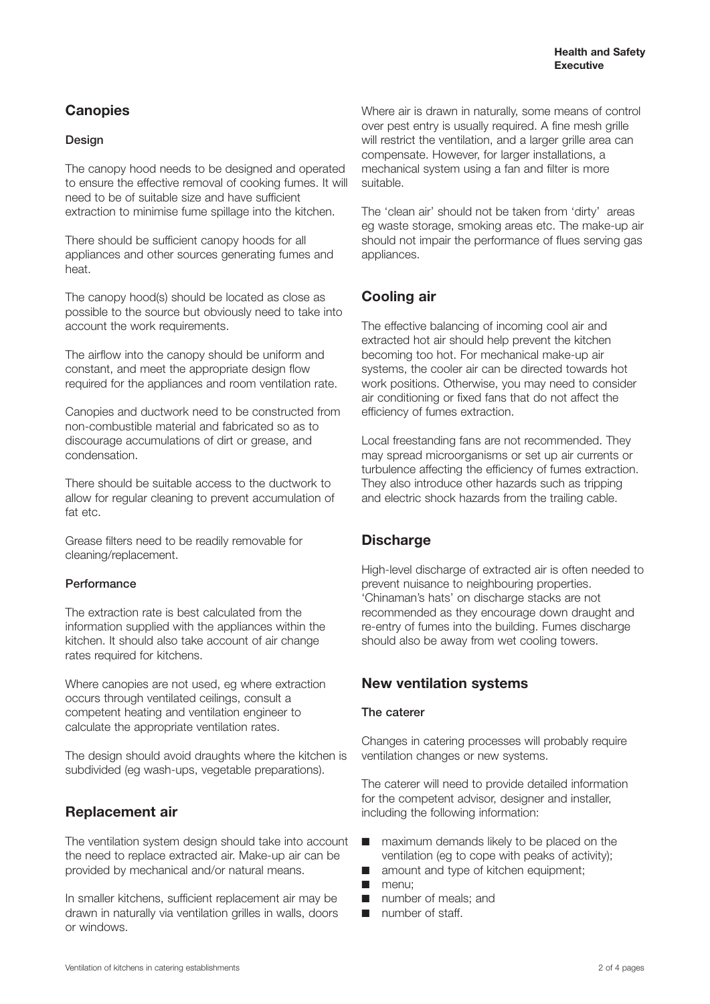# **Canopies**

#### **Design**

The canopy hood needs to be designed and operated to ensure the effective removal of cooking fumes. It will need to be of suitable size and have sufficient extraction to minimise fume spillage into the kitchen.

There should be sufficient canopy hoods for all appliances and other sources generating fumes and heat.

The canopy hood(s) should be located as close as possible to the source but obviously need to take into account the work requirements.

The airflow into the canopy should be uniform and constant, and meet the appropriate design flow required for the appliances and room ventilation rate.

Canopies and ductwork need to be constructed from non-combustible material and fabricated so as to discourage accumulations of dirt or grease, and condensation.

There should be suitable access to the ductwork to allow for regular cleaning to prevent accumulation of fat etc.

Grease filters need to be readily removable for cleaning/replacement.

#### **Performance**

The extraction rate is best calculated from the information supplied with the appliances within the kitchen. It should also take account of air change rates required for kitchens.

Where canopies are not used, eg where extraction occurs through ventilated ceilings, consult a competent heating and ventilation engineer to calculate the appropriate ventilation rates.

The design should avoid draughts where the kitchen is subdivided (eg wash-ups, vegetable preparations).

# **Replacement air**

The ventilation system design should take into account the need to replace extracted air. Make-up air can be provided by mechanical and/or natural means.

In smaller kitchens, sufficient replacement air may be drawn in naturally via ventilation grilles in walls, doors or windows.

Where air is drawn in naturally, some means of control over pest entry is usually required. A fine mesh grille will restrict the ventilation, and a larger grille area can compensate. However, for larger installations, a mechanical system using a fan and filter is more suitable.

The 'clean air' should not be taken from 'dirty' areas eg waste storage, smoking areas etc. The make-up air should not impair the performance of flues serving gas appliances.

## **Cooling air**

The effective balancing of incoming cool air and extracted hot air should help prevent the kitchen becoming too hot. For mechanical make-up air systems, the cooler air can be directed towards hot work positions. Otherwise, you may need to consider air conditioning or fixed fans that do not affect the efficiency of fumes extraction.

Local freestanding fans are not recommended. They may spread microorganisms or set up air currents or turbulence affecting the efficiency of fumes extraction. They also introduce other hazards such as tripping and electric shock hazards from the trailing cable.

# **Discharge**

High-level discharge of extracted air is often needed to prevent nuisance to neighbouring properties. 'Chinaman's hats' on discharge stacks are not recommended as they encourage down draught and re-entry of fumes into the building. Fumes discharge should also be away from wet cooling towers.

# **New ventilation systems**

#### **The caterer**

Changes in catering processes will probably require ventilation changes or new systems.

The caterer will need to provide detailed information for the competent advisor, designer and installer, including the following information:

- maximum demands likely to be placed on the ventilation (eg to cope with peaks of activity);
- amount and type of kitchen equipment;
- menu:
- number of meals; and
- number of staff.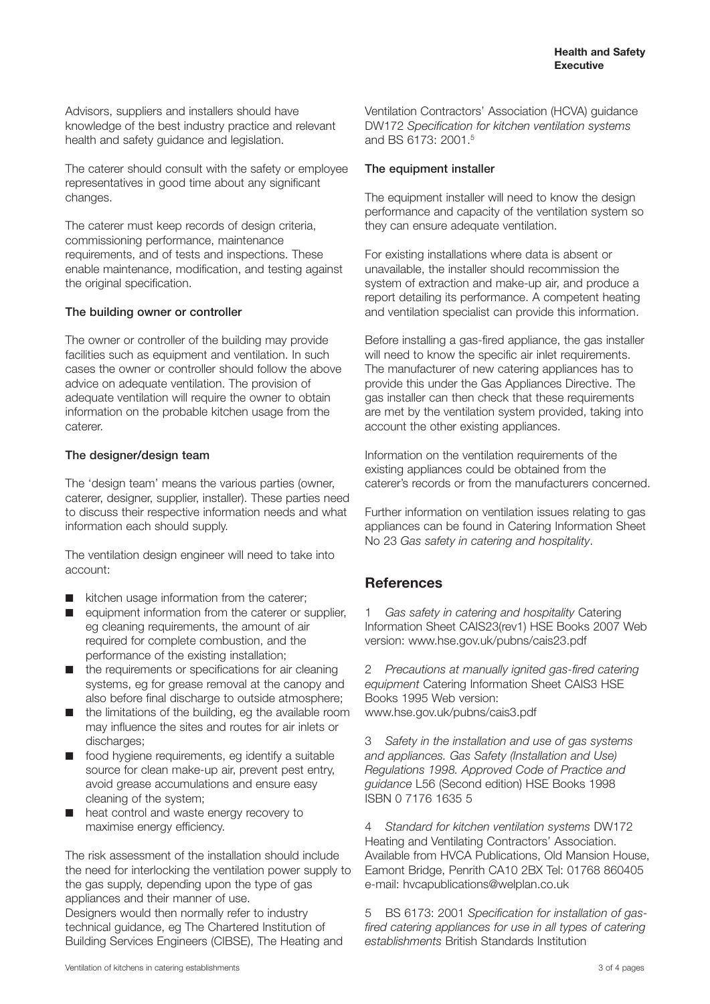Advisors, suppliers and installers should have knowledge of the best industry practice and relevant health and safety guidance and legislation.

The caterer should consult with the safety or employee representatives in good time about any significant changes.

The caterer must keep records of design criteria, commissioning performance, maintenance requirements, and of tests and inspections. These enable maintenance, modification, and testing against the original specification.

#### **The building owner or controller**

The owner or controller of the building may provide facilities such as equipment and ventilation. In such cases the owner or controller should follow the above advice on adequate ventilation. The provision of adequate ventilation will require the owner to obtain information on the probable kitchen usage from the caterer.

#### **The designer/design team**

The 'design team' means the various parties (owner, caterer, designer, supplier, installer). These parties need to discuss their respective information needs and what information each should supply.

The ventilation design engineer will need to take into account:

- kitchen usage information from the caterer;
- equipment information from the caterer or supplier, eg cleaning requirements, the amount of air required for complete combustion, and the performance of the existing installation;
- the requirements or specifications for air cleaning systems, eg for grease removal at the canopy and also before final discharge to outside atmosphere;
- the limitations of the building, eg the available room may influence the sites and routes for air inlets or discharges;
- food hygiene requirements, eg identify a suitable source for clean make-up air, prevent pest entry, avoid grease accumulations and ensure easy cleaning of the system;
- heat control and waste energy recovery to maximise energy efficiency.

The risk assessment of the installation should include the need for interlocking the ventilation power supply to the gas supply, depending upon the type of gas appliances and their manner of use.

Designers would then normally refer to industry technical guidance, eg The Chartered Institution of Building Services Engineers (CIBSE), The Heating and Ventilation Contractors' Association (HCVA) guidance DW172 *Specification for kitchen ventilation systems* and BS 6173: 2001<sup>5</sup>

#### **The equipment installer**

The equipment installer will need to know the design performance and capacity of the ventilation system so they can ensure adequate ventilation.

For existing installations where data is absent or unavailable, the installer should recommission the system of extraction and make-up air, and produce a report detailing its performance. A competent heating and ventilation specialist can provide this information.

Before installing a gas-fired appliance, the gas installer will need to know the specific air inlet requirements. The manufacturer of new catering appliances has to provide this under the Gas Appliances Directive. The gas installer can then check that these requirements are met by the ventilation system provided, taking into account the other existing appliances.

Information on the ventilation requirements of the existing appliances could be obtained from the caterer's records or from the manufacturers concerned.

Further information on ventilation issues relating to gas appliances can be found in Catering Information Sheet No 23 *Gas safety in catering and hospitality*.

# **References**

1 *Gas safety in catering and hospitality* Catering Information Sheet CAIS23(rev1) HSE Books 2007 Web version: www.hse.gov.uk/pubns/cais23.pdf

2 *Precautions at manually ignited gas-fired catering equipment* Catering Information Sheet CAIS3 HSE Books 1995 Web version: www.hse.gov.uk/pubns/cais3.pdf

3 *Safety in the installation and use of gas systems and appliances. Gas Safety (Installation and Use) Regulations 1998. Approved Code of Practice and guidance* L56 (Second edition) HSE Books 1998 ISBN 0 7176 1635 5

4 *Standard for kitchen ventilation systems* DW172 Heating and Ventilating Contractors' Association. Available from HVCA Publications, Old Mansion House, Eamont Bridge, Penrith CA10 2BX Tel: 01768 860405 e-mail: hvcapublications@welplan.co.uk

5 BS 6173: 2001 *Specification for installation of gasfired catering appliances for use in all types of catering establishments* British Standards Institution